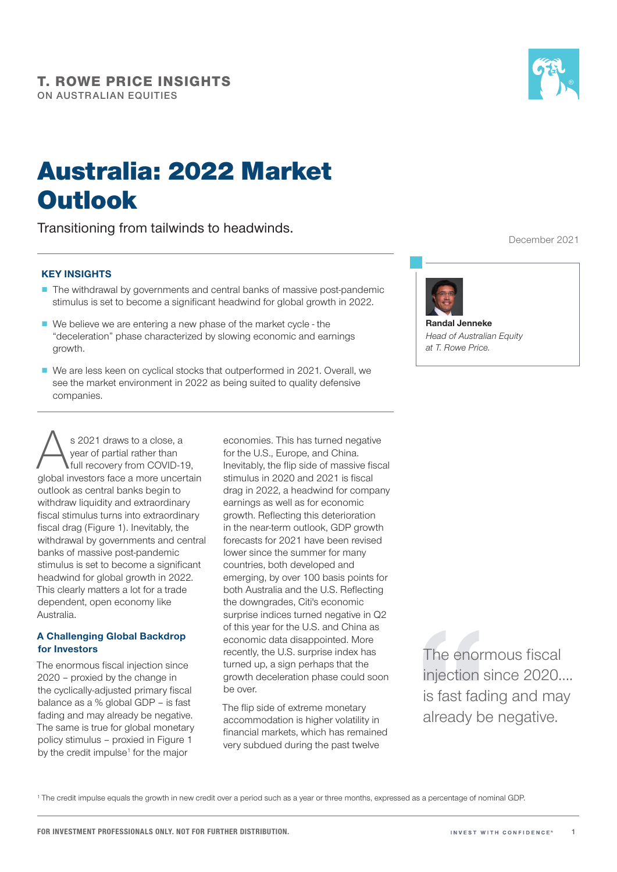# Australia: 2022 Market **Outlook**

Transitioning from tailwinds to headwinds.

## KEY INSIGHTS

- The withdrawal by governments and central banks of massive post-pandemic stimulus is set to become a significant headwind for global growth in 2022.
- We believe we are entering a new phase of the market cycle the "deceleration" phase characterized by slowing economic and earnings growth.
- We are less keen on cyclical stocks that outperformed in 2021. Overall, we see the market environment in 2022 as being suited to quality defensive companies.

s 2021 draws to a close, a<br>
year of partial rather than<br>
full recovery from COVID-19,<br>
global investors face a more uncertain year of partial rather than full recovery from COVID-19, outlook as central banks begin to withdraw liquidity and extraordinary fiscal stimulus turns into extraordinary fiscal drag (Figure 1). Inevitably, the withdrawal by governments and central banks of massive post-pandemic stimulus is set to become a significant headwind for global growth in 2022. This clearly matters a lot for a trade dependent, open economy like Australia.

## A Challenging Global Backdrop for Investors

The enormous fiscal injection since 2020 – proxied by the change in the cyclically-adjusted primary fiscal balance as a % global GDP – is fast fading and may already be negative. The same is true for global monetary policy stimulus – proxied in Figure 1 by the credit impulse<sup>1</sup> for the major

economies. This has turned negative for the U.S., Europe, and China. Inevitably, the flip side of massive fiscal stimulus in 2020 and 2021 is fiscal drag in 2022, a headwind for company earnings as well as for economic growth. Reflecting this deterioration in the near-term outlook, GDP growth forecasts for 2021 have been revised lower since the summer for many countries, both developed and emerging, by over 100 basis points for both Australia and the U.S. Reflecting the downgrades, Citi's economic surprise indices turned negative in Q2 of this year for the U.S. and China as economic data disappointed. More recently, the U.S. surprise index has turned up, a sign perhaps that the growth deceleration phase could soon be over.

The flip side of extreme monetary accommodation is higher volatility in financial markets, which has remained very subdued during the past twelve

December 2021



Randal Jenneke *Head of Australian Equity at T. Rowe Price.*

The enormous fiscal injection since 2020…. is fast fading and may already be negative.

<sup>1</sup> The credit impulse equals the growth in new credit over a period such as a year or three months, expressed as a percentage of nominal GDP.

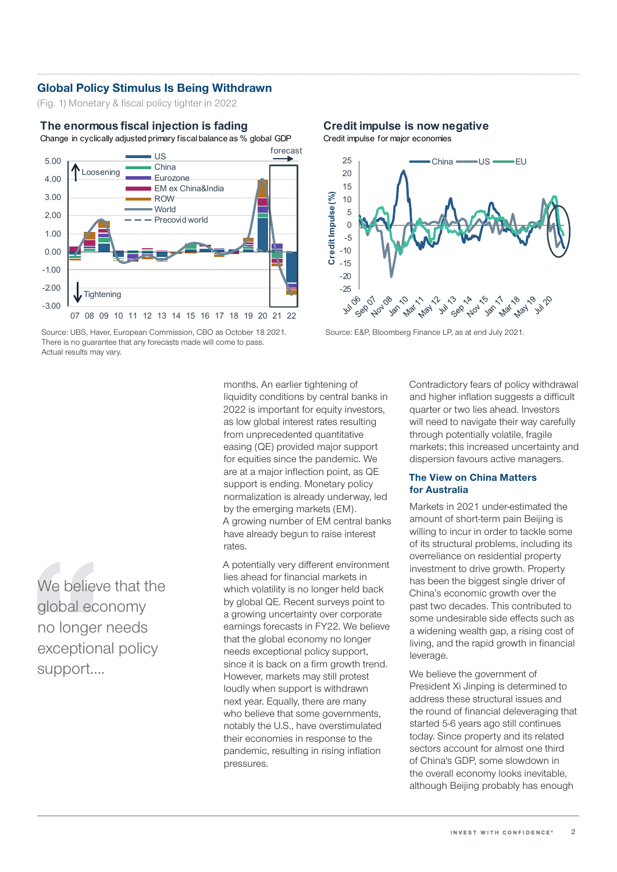## Global Policy Stimulus Is Being Withdrawn

(Fig. 1) Monetary & fiscal policy tighter in 2022

### **The enormous fiscal injection is fading**

Change in cyclically adjusted primary fiscal balance as % global GDP



Source: UBS, Haver, European Commission, CBO as October 18 2021. Source: E&P, Bloomberg Finance LP, as at end July 2021. There is no guarantee that any forecasts made will come to pass. Actual results may vary.

**Credit impulse is now negative**



months. An earlier tightening of liquidity conditions by central banks in 2022 is important for equity investors, as low global interest rates resulting from unprecedented quantitative easing (QE) provided major support for equities since the pandemic. We are at a major inflection point, as QE support is ending. Monetary policy normalization is already underway, led by the emerging markets (EM). A growing number of EM central banks have already begun to raise interest rates.

A potentially very different environment lies ahead for financial markets in which volatility is no longer held back by global QE. Recent surveys point to a growing uncertainty over corporate earnings forecasts in FY22. We believe that the global economy no longer needs exceptional policy support, since it is back on a firm growth trend. However, markets may still protest loudly when support is withdrawn next year. Equally, there are many who believe that some governments, notably the U.S., have overstimulated their economies in response to the pandemic, resulting in rising inflation pressures.

Contradictory fears of policy withdrawal and higher inflation suggests a difficult quarter or two lies ahead. Investors will need to navigate their way carefully through potentially volatile, fragile markets; this increased uncertainty and dispersion favours active managers.

## The View on China Matters for Australia

Markets in 2021 under-estimated the amount of short-term pain Beijing is willing to incur in order to tackle some of its structural problems, including its overreliance on residential property investment to drive growth. Property has been the biggest single driver of China's economic growth over the past two decades. This contributed to some undesirable side effects such as a widening wealth gap, a rising cost of living, and the rapid growth in financial leverage.

We believe the government of President Xi Jinping is determined to address these structural issues and the round of financial deleveraging that started 5-6 years ago still continues today. Since property and its related sectors account for almost one third of China's GDP, some slowdown in the overall economy looks inevitable, although Beijing probably has enough

We believe that the global economy no longer needs exceptional policy support….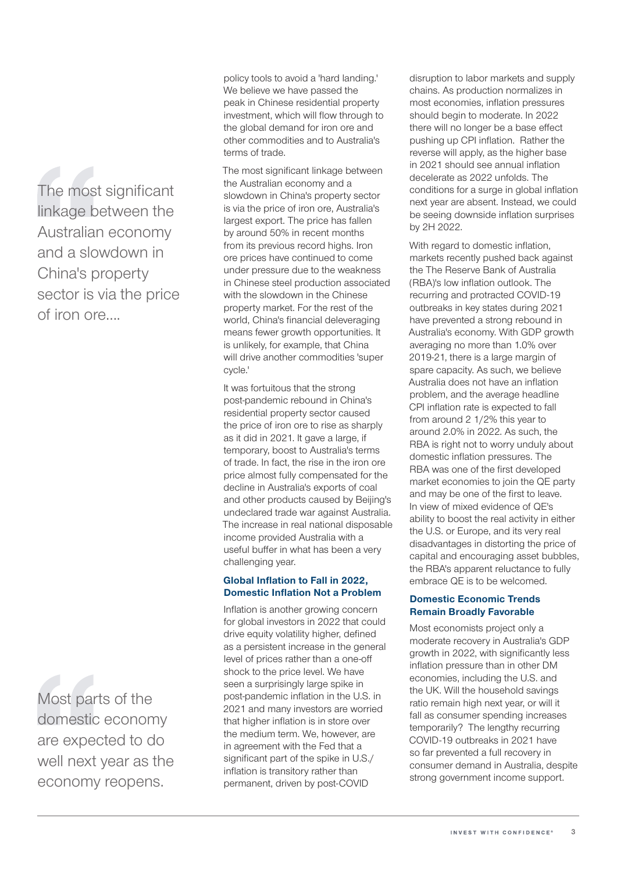The most significant linkage between the Australian economy and a slowdown in China's property sector is via the price of iron ore….

Most parts of the domestic economy are expected to do well next year as the economy reopens.

policy tools to avoid a 'hard landing.' We believe we have passed the peak in Chinese residential property investment, which will flow through to the global demand for iron ore and other commodities and to Australia's terms of trade.

The most significant linkage between the Australian economy and a slowdown in China's property sector is via the price of iron ore, Australia's largest export. The price has fallen by around 50% in recent months from its previous record highs. Iron ore prices have continued to come under pressure due to the weakness in Chinese steel production associated with the slowdown in the Chinese property market. For the rest of the world, China's financial deleveraging means fewer growth opportunities. It is unlikely, for example, that China will drive another commodities 'super cycle.'

It was fortuitous that the strong post-pandemic rebound in China's residential property sector caused the price of iron ore to rise as sharply as it did in 2021. It gave a large, if temporary, boost to Australia's terms of trade. In fact, the rise in the iron ore price almost fully compensated for the decline in Australia's exports of coal and other products caused by Beijing's undeclared trade war against Australia. The increase in real national disposable income provided Australia with a useful buffer in what has been a very challenging year.

## Global Inflation to Fall in 2022, Domestic Inflation Not a Problem

Inflation is another growing concern for global investors in 2022 that could drive equity volatility higher, defined as a persistent increase in the general level of prices rather than a one-off shock to the price level. We have seen a surprisingly large spike in post-pandemic inflation in the U.S. in 2021 and many investors are worried that higher inflation is in store over the medium term. We, however, are in agreement with the Fed that a significant part of the spike in U.S./ inflation is transitory rather than permanent, driven by post-COVID

disruption to labor markets and supply chains. As production normalizes in most economies, inflation pressures should begin to moderate. In 2022 there will no longer be a base effect pushing up CPI inflation. Rather the reverse will apply, as the higher base in 2021 should see annual inflation decelerate as 2022 unfolds. The conditions for a surge in global inflation next year are absent. Instead, we could be seeing downside inflation surprises by 2H 2022.

With regard to domestic inflation, markets recently pushed back against the The Reserve Bank of Australia (RBA)'s low inflation outlook. The recurring and protracted COVID-19 outbreaks in key states during 2021 have prevented a strong rebound in Australia's economy. With GDP growth averaging no more than 1.0% over 2019-21, there is a large margin of spare capacity. As such, we believe Australia does not have an inflation problem, and the average headline CPI inflation rate is expected to fall from around 2 1/2% this year to around 2.0% in 2022. As such, the RBA is right not to worry unduly about domestic inflation pressures. The RBA was one of the first developed market economies to join the QE party and may be one of the first to leave. In view of mixed evidence of QE's ability to boost the real activity in either the U.S. or Europe, and its very real disadvantages in distorting the price of capital and encouraging asset bubbles, the RBA's apparent reluctance to fully embrace QE is to be welcomed.

## Domestic Economic Trends Remain Broadly Favorable

Most economists project only a moderate recovery in Australia's GDP growth in 2022, with significantly less inflation pressure than in other DM economies, including the U.S. and the UK. Will the household savings ratio remain high next year, or will it fall as consumer spending increases temporarily? The lengthy recurring COVID-19 outbreaks in 2021 have so far prevented a full recovery in consumer demand in Australia, despite strong government income support.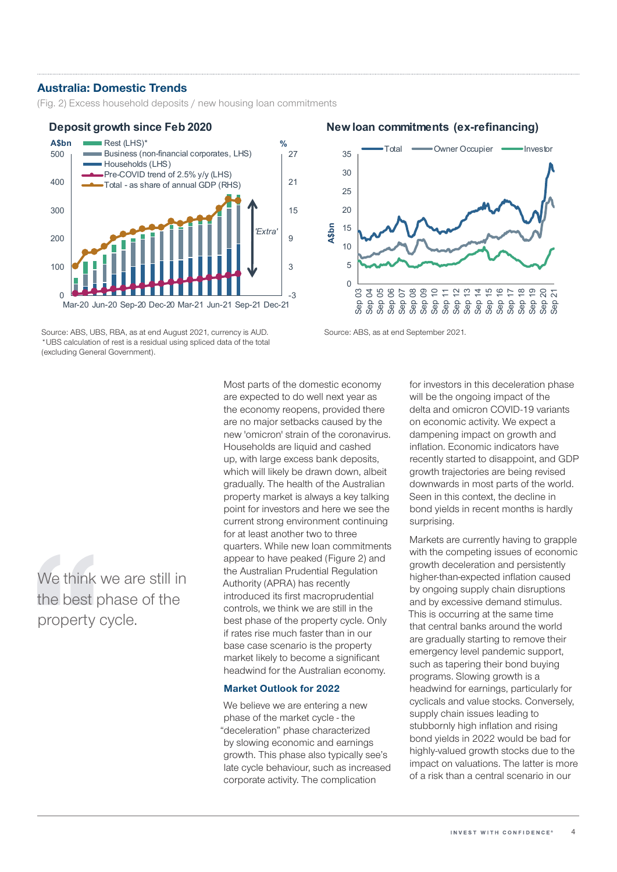## Australia: Domestic Trends

(Fig. 2) Excess household deposits / new housing loan commitments

#### $-3$ 3 9 15 21 27  $\Omega$ 100 200 300 400 500 Mar-20 Jun-20 Sep-20 Dec-20 Mar-21 Jun-21 Sep-21 Dec-21 Rest (LHS)\* **A\$bn %** Business (non-financial corporates, LHS) Households (LHS) Pre-COVID trend of 2.5% y/y (LHS) Total - as share of annual GDP (RHS) *'Extra'*

Source: ABS, UBS, RBA, as at end August 2021, currency is AUD. Source: ABS, as at end September 2021. \*UBS calculation of rest is a residual using spliced data of the total (excluding General Government).

We think we are still in the best phase of the property cycle.

Most parts of the domestic economy are expected to do well next year as the economy reopens, provided there are no major setbacks caused by the new 'omicron' strain of the coronavirus. Households are liquid and cashed up, with large excess bank deposits, which will likely be drawn down, albeit gradually. The health of the Australian property market is always a key talking point for investors and here we see the current strong environment continuing for at least another two to three quarters. While new loan commitments appear to have peaked (Figure 2) and the Australian Prudential Regulation Authority (APRA) has recently introduced its first macroprudential controls, we think we are still in the best phase of the property cycle. Only if rates rise much faster than in our base case scenario is the property market likely to become a significant headwind for the Australian economy.

## Market Outlook for 2022

We believe we are entering a new phase of the market cycle - the "deceleration" phase characterized by slowing economic and earnings growth. This phase also typically see's late cycle behaviour, such as increased corporate activity. The complication

for investors in this deceleration phase will be the ongoing impact of the delta and omicron COVID-19 variants on economic activity. We expect a dampening impact on growth and inflation. Economic indicators have recently started to disappoint, and GDP growth trajectories are being revised downwards in most parts of the world. Seen in this context, the decline in bond yields in recent months is hardly surprising.

Markets are currently having to grapple with the competing issues of economic growth deceleration and persistently higher-than-expected inflation caused by ongoing supply chain disruptions and by excessive demand stimulus. This is occurring at the same time that central banks around the world are gradually starting to remove their emergency level pandemic support, such as tapering their bond buying programs. Slowing growth is a headwind for earnings, particularly for cyclicals and value stocks. Conversely, supply chain issues leading to stubbornly high inflation and rising bond yields in 2022 would be bad for highly-valued growth stocks due to the impact on valuations. The latter is more of a risk than a central scenario in our

## **Deposit growth since Feb 2020 New loan commitments (ex-refinancing)**

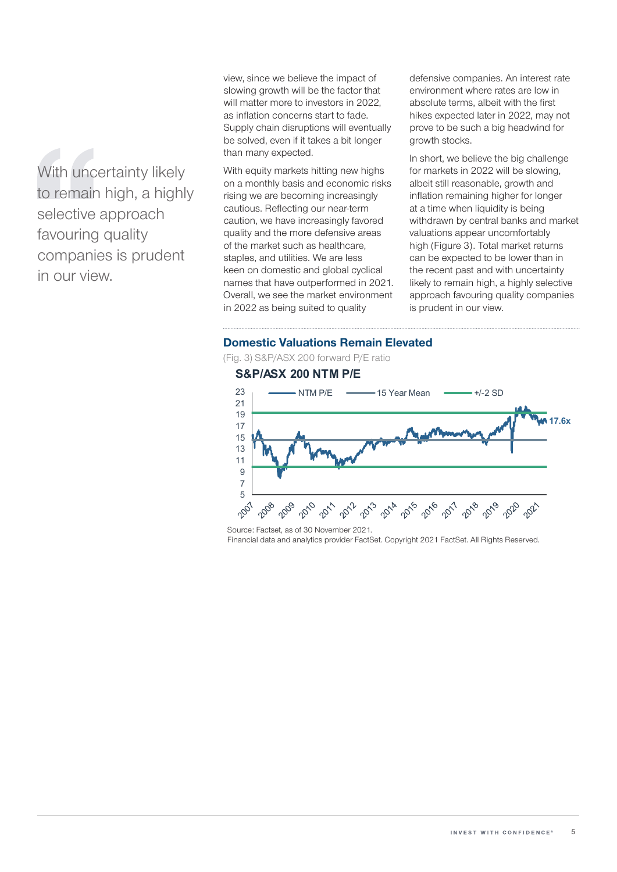With uncertainty likely to remain high, a highly selective approach favouring quality companies is prudent in our view.

view, since we believe the impact of slowing growth will be the factor that will matter more to investors in 2022, as inflation concerns start to fade. Supply chain disruptions will eventually be solved, even if it takes a bit longer than many expected.

With equity markets hitting new highs on a monthly basis and economic risks rising we are becoming increasingly cautious. Reflecting our near-term caution, we have increasingly favored quality and the more defensive areas of the market such as healthcare, staples, and utilities. We are less keen on domestic and global cyclical names that have outperformed in 2021. Overall, we see the market environment in 2022 as being suited to quality

defensive companies. An interest rate environment where rates are low in absolute terms, albeit with the first hikes expected later in 2022, may not prove to be such a big headwind for growth stocks.

In short, we believe the big challenge for markets in 2022 will be slowing, albeit still reasonable, growth and inflation remaining higher for longer at a time when liquidity is being withdrawn by central banks and market valuations appear uncomfortably high (Figure 3). Total market returns can be expected to be lower than in the recent past and with uncertainty likely to remain high, a highly selective approach favouring quality companies is prudent in our view.

## Domestic Valuations Remain Elevated

(Fig. 3) S&P/ASX 200 forward P/E ratio

## **S&P/ASX 200 NTM P/E**



Source: Factset, as of 30 November 2021. Financial data and analytics provider FactSet. Copyright 2021 FactSet. All Rights Reserved.